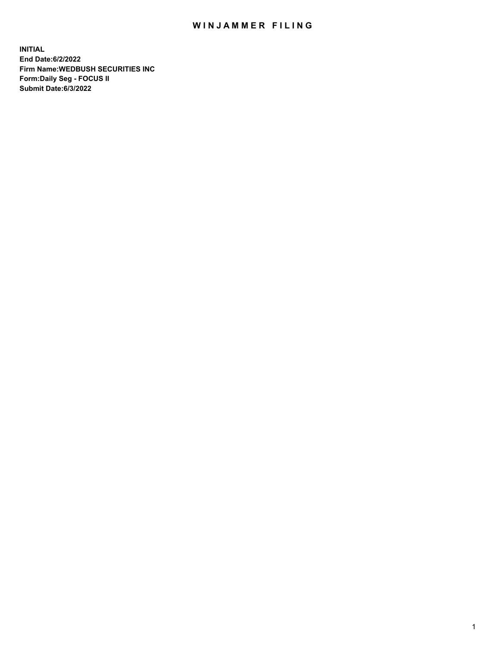## WIN JAMMER FILING

**INITIAL End Date:6/2/2022 Firm Name:WEDBUSH SECURITIES INC Form:Daily Seg - FOCUS II Submit Date:6/3/2022**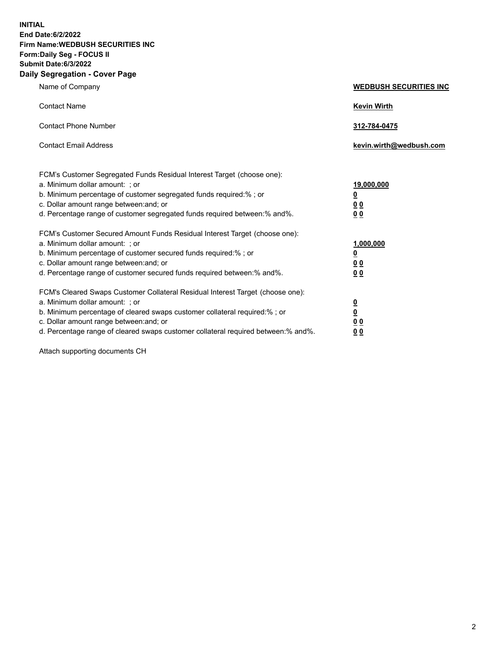**INITIAL End Date:6/2/2022 Firm Name:WEDBUSH SECURITIES INC Form:Daily Seg - FOCUS II Submit Date:6/3/2022 Daily Segregation - Cover Page**

| Name of Company                                                                                                                                                                                                                                                                                                                | <b>WEDBUSH SECURITIES INC</b>                        |
|--------------------------------------------------------------------------------------------------------------------------------------------------------------------------------------------------------------------------------------------------------------------------------------------------------------------------------|------------------------------------------------------|
| <b>Contact Name</b>                                                                                                                                                                                                                                                                                                            | <b>Kevin Wirth</b>                                   |
| <b>Contact Phone Number</b>                                                                                                                                                                                                                                                                                                    | 312-784-0475                                         |
| <b>Contact Email Address</b>                                                                                                                                                                                                                                                                                                   | kevin.wirth@wedbush.com                              |
| FCM's Customer Segregated Funds Residual Interest Target (choose one):<br>a. Minimum dollar amount: ; or<br>b. Minimum percentage of customer segregated funds required:% ; or<br>c. Dollar amount range between: and; or<br>d. Percentage range of customer segregated funds required between:% and%.                         | 19,000,000<br><u>0</u><br><u>00</u><br>00            |
| FCM's Customer Secured Amount Funds Residual Interest Target (choose one):<br>a. Minimum dollar amount: ; or<br>b. Minimum percentage of customer secured funds required:%; or<br>c. Dollar amount range between: and; or<br>d. Percentage range of customer secured funds required between:% and%.                            | 1,000,000<br><u>0</u><br><u>00</u><br>0 <sub>0</sub> |
| FCM's Cleared Swaps Customer Collateral Residual Interest Target (choose one):<br>a. Minimum dollar amount: ; or<br>b. Minimum percentage of cleared swaps customer collateral required:% ; or<br>c. Dollar amount range between: and; or<br>d. Percentage range of cleared swaps customer collateral required between:% and%. | $\frac{\frac{0}{0}}{\frac{0}{0}}$<br><u>00</u>       |

Attach supporting documents CH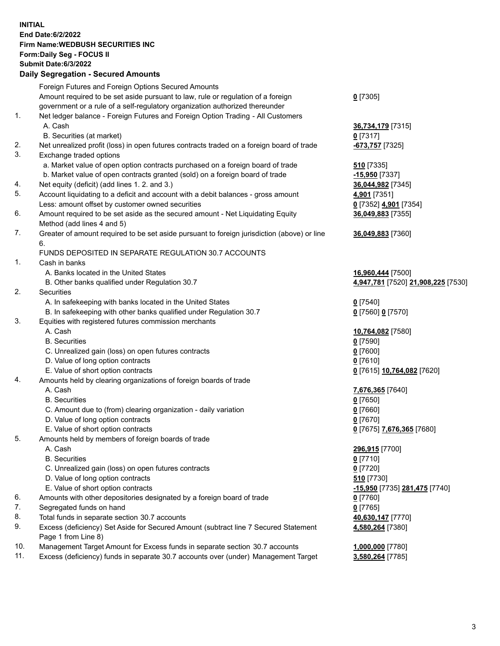**INITIAL End Date:6/2/2022 Firm Name:WEDBUSH SECURITIES INC Form:Daily Seg - FOCUS II Submit Date:6/3/2022 Daily Segregation - Secured Amounts**

Foreign Futures and Foreign Options Secured Amounts Amount required to be set aside pursuant to law, rule or regulation of a foreign government or a rule of a self-regulatory organization authorized thereunder **0** [7305] 1. Net ledger balance - Foreign Futures and Foreign Option Trading - All Customers A. Cash **36,734,179** [7315] B. Securities (at market) **0** [7317] 2. Net unrealized profit (loss) in open futures contracts traded on a foreign board of trade **-673,757** [7325] 3. Exchange traded options a. Market value of open option contracts purchased on a foreign board of trade **510** [7335] b. Market value of open contracts granted (sold) on a foreign board of trade **-15,950** [7337] 4. Net equity (deficit) (add lines 1. 2. and 3.) **36,044,982** [7345] 5. Account liquidating to a deficit and account with a debit balances - gross amount **4,901** [7351] Less: amount offset by customer owned securities **0** [7352] **4,901** [7354] 6. Amount required to be set aside as the secured amount - Net Liquidating Equity Method (add lines 4 and 5) **36,049,883** [7355] 7. Greater of amount required to be set aside pursuant to foreign jurisdiction (above) or line 6. **36,049,883** [7360] FUNDS DEPOSITED IN SEPARATE REGULATION 30.7 ACCOUNTS 1. Cash in banks A. Banks located in the United States **16,960,444** [7500] B. Other banks qualified under Regulation 30.7 **4,947,781** [7520] **21,908,225** [7530] 2. Securities A. In safekeeping with banks located in the United States **0** [7540] B. In safekeeping with other banks qualified under Regulation 30.7 **0** [7560] **0** [7570] 3. Equities with registered futures commission merchants A. Cash **10,764,082** [7580] B. Securities **0** [7590] C. Unrealized gain (loss) on open futures contracts **0** [7600] D. Value of long option contracts **0** [7610] E. Value of short option contracts **0** [7615] **10,764,082** [7620] 4. Amounts held by clearing organizations of foreign boards of trade A. Cash **7,676,365** [7640] B. Securities **0** [7650] C. Amount due to (from) clearing organization - daily variation **0** [7660] D. Value of long option contracts **0** [7670] E. Value of short option contracts **0** [7675] **7,676,365** [7680] 5. Amounts held by members of foreign boards of trade A. Cash **296,915** [7700] B. Securities **0** [7710] C. Unrealized gain (loss) on open futures contracts **0** [7720] D. Value of long option contracts **510** [7730] E. Value of short option contracts **-15,950** [7735] **281,475** [7740] 6. Amounts with other depositories designated by a foreign board of trade **0** [7760] 7. Segregated funds on hand **0** [7765] 8. Total funds in separate section 30.7 accounts **40,630,147** [7770] 9. Excess (deficiency) Set Aside for Secured Amount (subtract line 7 Secured Statement Page 1 from Line 8) **4,580,264** [7380] 10. Management Target Amount for Excess funds in separate section 30.7 accounts **1,000,000** [7780] 11. Excess (deficiency) funds in separate 30.7 accounts over (under) Management Target **3,580,264** [7785]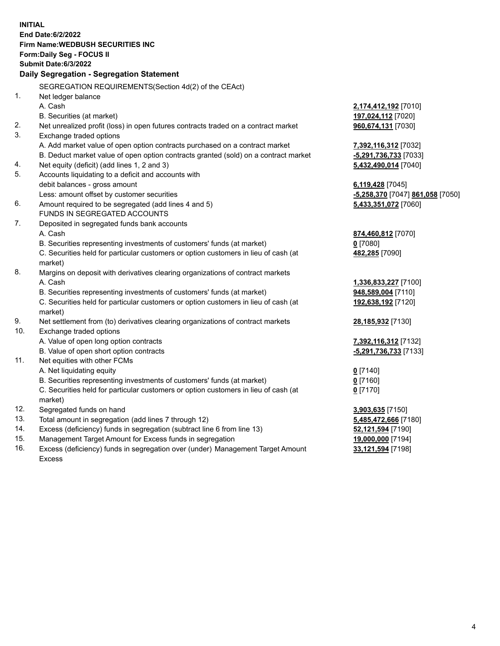|                | <b>INITIAL</b><br><b>End Date:6/2/2022</b><br><b>Firm Name: WEDBUSH SECURITIES INC</b><br>Form: Daily Seg - FOCUS II |                                  |
|----------------|----------------------------------------------------------------------------------------------------------------------|----------------------------------|
|                | <b>Submit Date:6/3/2022</b>                                                                                          |                                  |
|                | Daily Segregation - Segregation Statement                                                                            |                                  |
| 1 <sub>1</sub> | SEGREGATION REQUIREMENTS(Section 4d(2) of the CEAct)<br>Net ledger balance                                           |                                  |
|                | A. Cash                                                                                                              | 2,174,412,192 <sub>[7010]</sub>  |
|                | B. Securities (at market)                                                                                            | 197,024,112 [7020]               |
| 2.             | Net unrealized profit (loss) in open futures contracts traded on a contract market                                   | 960,674,131 [7030]               |
| 3.             | Exchange traded options                                                                                              |                                  |
|                | A. Add market value of open option contracts purchased on a contract market                                          | 7,392,116,312 [7032]             |
|                | B. Deduct market value of open option contracts granted (sold) on a contract market                                  | -5,291,736,733 [7033]            |
| 4.             | Net equity (deficit) (add lines 1, 2 and 3)                                                                          | 5,432,490,014 [7040]             |
| 5.             | Accounts liquidating to a deficit and accounts with                                                                  |                                  |
|                | debit balances - gross amount                                                                                        | 6,119,428 [7045]                 |
|                | Less: amount offset by customer securities                                                                           | -5,258,370 [7047] 861,058 [7050] |
| 6.             | Amount required to be segregated (add lines 4 and 5)                                                                 | 5,433,351,072 [7060]             |
|                | FUNDS IN SEGREGATED ACCOUNTS                                                                                         |                                  |
| 7.             | Deposited in segregated funds bank accounts                                                                          |                                  |
|                | A. Cash                                                                                                              | 874,460,812 [7070]               |
|                | B. Securities representing investments of customers' funds (at market)                                               | $0$ [7080]                       |
|                | C. Securities held for particular customers or option customers in lieu of cash (at                                  | 482,285 [7090]                   |
|                | market)                                                                                                              |                                  |
| 8.             | Margins on deposit with derivatives clearing organizations of contract markets                                       |                                  |
|                | A. Cash                                                                                                              | 1,336,833,227 [7100]             |
|                | B. Securities representing investments of customers' funds (at market)                                               | 948,589,004 [7110]               |
|                | C. Securities held for particular customers or option customers in lieu of cash (at<br>market)                       | 192,638,192 [7120]               |
| 9.             | Net settlement from (to) derivatives clearing organizations of contract markets                                      | 28,185,932 [7130]                |
| 10.            | Exchange traded options                                                                                              |                                  |
|                | A. Value of open long option contracts                                                                               | 7,392,116,312 [7132]             |
|                | B. Value of open short option contracts                                                                              | -5,291,736,733 [7133]            |
| 11.            | Net equities with other FCMs                                                                                         |                                  |
|                | A. Net liquidating equity                                                                                            | $0$ [7140]                       |
|                | B. Securities representing investments of customers' funds (at market)                                               | $0$ [7160]                       |
|                | C. Securities held for particular customers or option customers in lieu of cash (at<br>market)                       | $0$ [7170]                       |
| 12.            | Segregated funds on hand                                                                                             | 3,903,635 [7150]                 |
| 13.            | Total amount in segregation (add lines 7 through 12)                                                                 | 5,485,472,666 [7180]             |
| 14.            | Excess (deficiency) funds in segregation (subtract line 6 from line 13)                                              | 52,121,594 [7190]                |
| 15.            | Management Target Amount for Excess funds in segregation                                                             | 19,000,000 [7194]                |
| 16.            | Excess (deficiency) funds in segregation over (under) Management Target Amount                                       | 33,121,594 [7198]                |

16. Excess (deficiency) funds in segregation over (under) Management Target Amount Excess